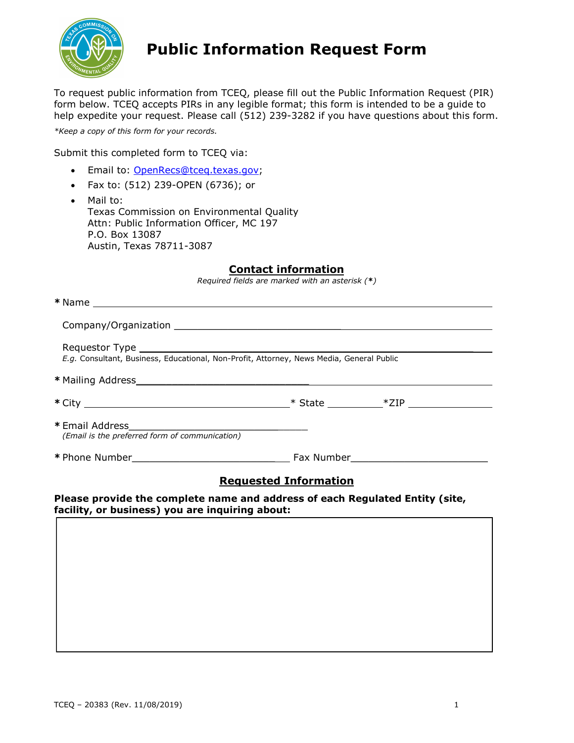

# **Public Information Request Form**

 To request public information from TCEQ, please fill out the Public Information Request (PIR) form below. TCEQ accepts PIRs in any legible format; this form is intended to be a guide to help expedite your request. Please call (512) 239-3282 if you have questions about this form.

 *\*Keep a copy of this form for your records.*

Submit this completed form to TCEQ via:

- Email to: [OpenRecs@tceq.texas.gov;](mailto:OpenRecs@tceq.texas.gov)
- Fax to: (512) 239-OPEN (6736); or
- Attn: Public Information Officer, MC 197 P.O. Box 13087 Austin, Texas 78711-3087 • Mail to: Texas Commission on Environmental Quality

### **Contact information**

 *Required fields are marked with an asterisk (\*)* 

| E.g. Consultant, Business, Educational, Non-Profit, Attorney, News Media, General Public |                              |  |
|------------------------------------------------------------------------------------------|------------------------------|--|
|                                                                                          |                              |  |
|                                                                                          |                              |  |
| (Email is the preferred form of communication)                                           |                              |  |
|                                                                                          |                              |  |
|                                                                                          | <b>Requested Information</b> |  |

**Please provide the complete name and address of each Regulated Entity (site, facility, or business) you are inquiring about:**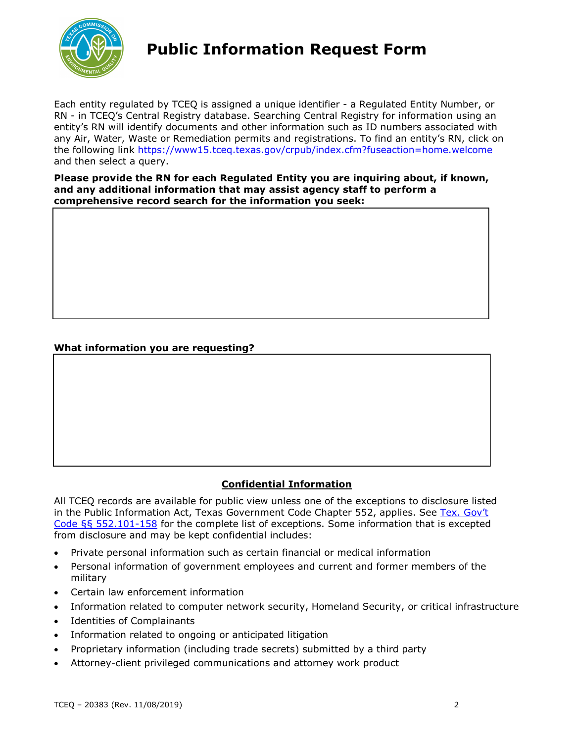

# **Public Information Request Form**

 the following link <https://www15.tceq.texas.gov/crpub/index.cfm?fuseaction=home.welcome> Each entity regulated by TCEQ is assigned a unique identifier - a Regulated Entity Number, or RN - in TCEQ's Central Registry database. Searching Central Registry for information using an entity's RN will identify documents and other information such as ID numbers associated with any Air, Water, Waste or Remediation permits and registrations. To find an entity's RN, click on and then select a query.

 **Please provide the RN for each Regulated Entity you are inquiring about, if known, and any additional information that may assist agency staff to perform a comprehensive record search for the information you seek:** 

### **What information you are requesting?**

## **Confidential Information**

 All TCEQ records are available for public view unless one of the exceptions to disclosure listed in the Public Information Act, Texas Government Code Chapter 552, applies. See Tex. Gov't [Code §§ 552.101-158](https://statutes.capitol.texas.gov/Docs/GV/htm/GV.552.htm#552.101) for the complete list of exceptions. Some information that is excepted from disclosure and may be kept confidential includes:

- Private personal information such as certain financial or medical information
- • Personal information of government employees and current and former members of the military
- Certain law enforcement information
- Information related to computer network security, Homeland Security, or critical infrastructure
- Identities of Complainants
- Information related to ongoing or anticipated litigation
- Proprietary information (including trade secrets) submitted by a third party
- Attorney-client privileged communications and attorney work product